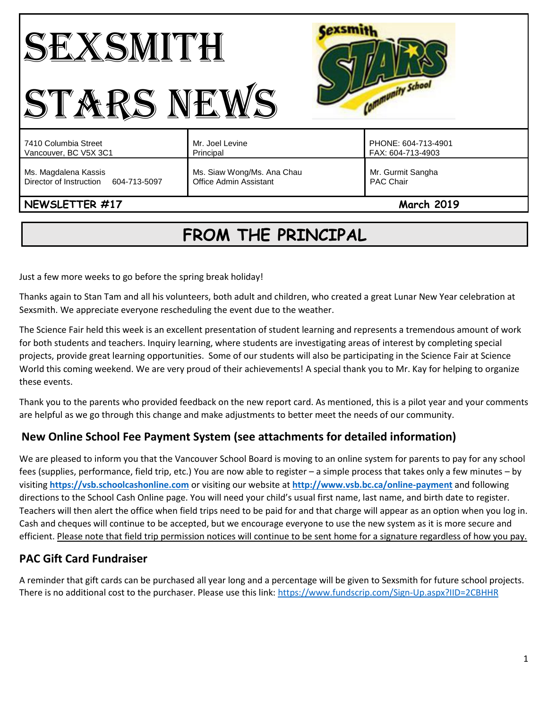| <b>Anunity School</b><br><b>ERS NE</b>                          |                                                      |                                          |
|-----------------------------------------------------------------|------------------------------------------------------|------------------------------------------|
| 7410 Columbia Street<br>Vancouver, BC V5X 3C1                   | Mr. Joel Levine<br>Principal                         | PHONE: 604-713-4901<br>FAX: 604-713-4903 |
| Ms. Magdalena Kassis<br>Director of Instruction<br>604-713-5097 | Ms. Siaw Wong/Ms. Ana Chau<br>Office Admin Assistant | Mr. Gurmit Sangha<br>PAC Chair           |
| NEWSLETTER #17<br><b>March 2019</b>                             |                                                      |                                          |

# **FROM THE PRINCIPAL**

Just a few more weeks to go before the spring break holiday!

Thanks again to Stan Tam and all his volunteers, both adult and children, who created a great Lunar New Year celebration at Sexsmith. We appreciate everyone rescheduling the event due to the weather.

The Science Fair held this week is an excellent presentation of student learning and represents a tremendous amount of work for both students and teachers. Inquiry learning, where students are investigating areas of interest by completing special projects, provide great learning opportunities. Some of our students will also be participating in the Science Fair at Science World this coming weekend. We are very proud of their achievements! A special thank you to Mr. Kay for helping to organize these events.

Thank you to the parents who provided feedback on the new report card. As mentioned, this is a pilot year and your comments are helpful as we go through this change and make adjustments to better meet the needs of our community.

# **New Online School Fee Payment System (see attachments for detailed information)**

We are pleased to inform you that the Vancouver School Board is moving to an online system for parents to pay for any school fees (supplies, performance, field trip, etc.) You are now able to register – a simple process that takes only a few minutes – by visiting **[https://vsb.schoolcashonline.com](https://vsb.schoolcashonline.com/)** or visiting our website at **<http://www.vsb.bc.ca/online-payment>** and following directions to the School Cash Online page. You will need your child's usual first name, last name, and birth date to register. Teachers will then alert the office when field trips need to be paid for and that charge will appear as an option when you log in. Cash and cheques will continue to be accepted, but we encourage everyone to use the new system as it is more secure and efficient. Please note that field trip permission notices will continue to be sent home for a signature regardless of how you pay.

# **PAC Gift Card Fundraiser**

A reminder that gift cards can be purchased all year long and a percentage will be given to Sexsmith for future school projects. There is no additional cost to the purchaser. Please use this link:<https://www.fundscrip.com/Sign-Up.aspx?IID=2CBHHR>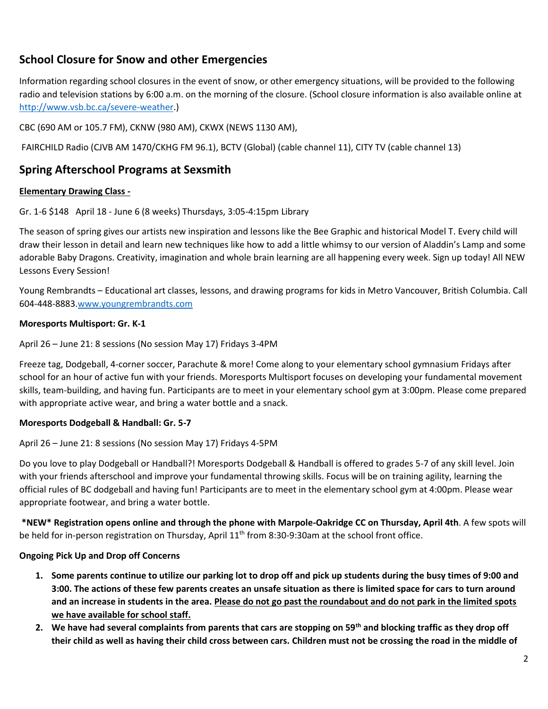# **School Closure for Snow and other Emergencies**

Information regarding school closures in the event of snow, or other emergency situations, will be provided to the following radio and television stations by 6:00 a.m. on the morning of the closure. (School closure information is also available online at [http://www.vsb.bc.ca/severe-weather.](http://www.vsb.bc.ca/severe-weather))

CBC (690 AM or 105.7 FM), CKNW (980 AM), CKWX (NEWS 1130 AM),

FAIRCHILD Radio (CJVB AM 1470/CKHG FM 96.1), BCTV (Global) (cable channel 11), CITY TV (cable channel 13)

### **Spring Afterschool Programs at Sexsmith**

#### **Elementary Drawing Class -**

Gr. 1-6 \$148 April 18 - June 6 (8 weeks) Thursdays, 3:05-4:15pm Library

The season of spring gives our artists new inspiration and lessons like the Bee Graphic and historical Model T. Every child will draw their lesson in detail and learn new techniques like how to add a little whimsy to our version of Aladdin's Lamp and some adorable Baby Dragons. Creativity, imagination and whole brain learning are all happening every week. Sign up today! All NEW Lessons Every Session!

Young Rembrandts – Educational art classes, lessons, and drawing programs for kids in Metro Vancouver, British Columbia. Call 604-448-8883[.www.youngrembrandts.com](http://www.youngrembrandts.com/)

#### **Moresports Multisport: Gr. K-1**

April 26 – June 21: 8 sessions (No session May 17) Fridays 3-4PM

Freeze tag, Dodgeball, 4-corner soccer, Parachute & more! Come along to your elementary school gymnasium Fridays after school for an hour of active fun with your friends. Moresports Multisport focuses on developing your fundamental movement skills, team-building, and having fun. Participants are to meet in your elementary school gym at 3:00pm. Please come prepared with appropriate active wear, and bring a water bottle and a snack.

#### **Moresports Dodgeball & Handball: Gr. 5-7**

#### April 26 – June 21: 8 sessions (No session May 17) Fridays 4-5PM

Do you love to play Dodgeball or Handball?! Moresports Dodgeball & Handball is offered to grades 5-7 of any skill level. Join with your friends afterschool and improve your fundamental throwing skills. Focus will be on training agility, learning the official rules of BC dodgeball and having fun! Participants are to meet in the elementary school gym at 4:00pm. Please wear appropriate footwear, and bring a water bottle.

**\*NEW\* Registration opens online and through the phone with Marpole-Oakridge CC on Thursday, April 4th**. A few spots will be held for in-person registration on Thursday, April 11<sup>th</sup> from 8:30-9:30am at the school front office.

#### **Ongoing Pick Up and Drop off Concerns**

- **1. Some parents continue to utilize our parking lot to drop off and pick up students during the busy times of 9:00 and 3:00. The actions of these few parents creates an unsafe situation as there is limited space for cars to turn around and an increase in students in the area. Please do not go past the roundabout and do not park in the limited spots we have available for school staff.**
- **2. We have had several complaints from parents that cars are stopping on 59th and blocking traffic as they drop off their child as well as having their child cross between cars. Children must not be crossing the road in the middle of**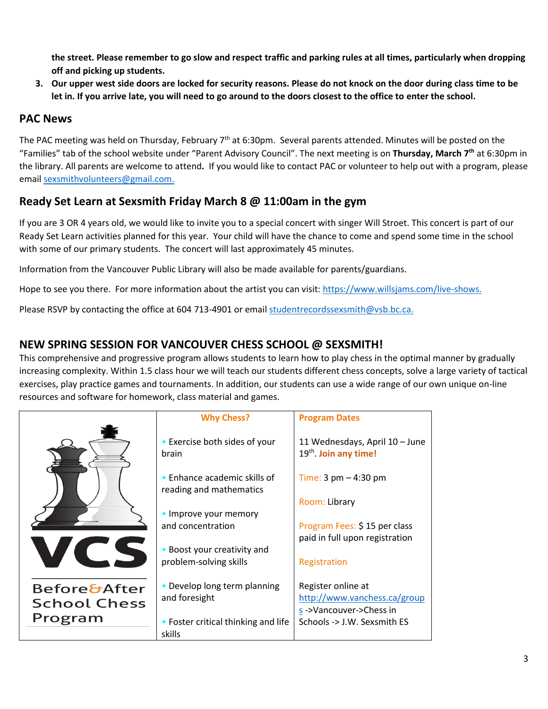**the street. Please remember to go slow and respect traffic and parking rules at all times, particularly when dropping off and picking up students.** 

**3. Our upper west side doors are locked for security reasons. Please do not knock on the door during class time to be let in. If you arrive late, you will need to go around to the doors closest to the office to enter the school.** 

## **PAC News**

The PAC meeting was held on Thursday, February  $7<sup>th</sup>$  at 6:30pm. Several parents attended. Minutes will be posted on the "Families" tab of the school website under "Parent Advisory Council". The next meeting is on **Thursday, March 7 th** at 6:30pm in the library. All parents are welcome to attend**.** If you would like to contact PAC or volunteer to help out with a program, please emai[l sexsmithvolunteers@gmail.com.](mailto:sexsmithvolunteers@gmail.com)

# **Ready Set Learn at Sexsmith Friday March 8 @ 11:00am in the gym**

If you are 3 OR 4 years old, we would like to invite you to a special concert with singer Will Stroet. This concert is part of our Ready Set Learn activities planned for this year. Your child will have the chance to come and spend some time in the school with some of our primary students. The concert will last approximately 45 minutes.

Information from the Vancouver Public Library will also be made available for parents/guardians.

Hope to see you there. For more information about the artist you can visit[: https://www.willsjams.com/live-shows.](https://www.willsjams.com/live-shows)

Please RSVP by contacting the office at 604 713-4901 or email [studentrecordssexsmith@vsb.bc.ca.](mailto:studentrecordssexsmith@vsb.bc.ca)

## **NEW SPRING SESSION FOR VANCOUVER CHESS SCHOOL @ SEXSMITH!**

This comprehensive and progressive program allows students to learn how to play chess in the optimal manner by gradually increasing complexity. Within 1.5 class hour we will teach our students different chess concepts, solve a large variety of tactical exercises, play practice games and tournaments. In addition, our students can use a wide range of our own unique on-line resources and software for homework, class material and games.

|                         | <b>Why Chess?</b>                                               | <b>Program Dates</b>                                                |
|-------------------------|-----------------------------------------------------------------|---------------------------------------------------------------------|
|                         | • Exercise both sides of your<br>brain                          | 11 Wednesdays, April 10 - June<br>19 <sup>th</sup> . Join any time! |
|                         | $\bullet$ Enhance academic skills of<br>reading and mathematics | Time: $3 \text{ pm} - 4:30 \text{ pm}$                              |
|                         |                                                                 | Room: Library                                                       |
|                         | • Improve your memory                                           |                                                                     |
|                         | and concentration                                               | Program Fees: \$15 per class                                        |
|                         | Boost your creativity and                                       | paid in full upon registration                                      |
|                         | problem-solving skills                                          | Registration                                                        |
| <b>Before&amp;After</b> | • Develop long term planning                                    | Register online at                                                  |
| <b>School Chess</b>     | and foresight                                                   | http://www.vanchess.ca/group                                        |
|                         |                                                                 | s->Vancouver->Chess in                                              |
| Program                 | • Foster critical thinking and life                             | Schools -> J.W. Sexsmith ES                                         |
|                         | skills                                                          |                                                                     |